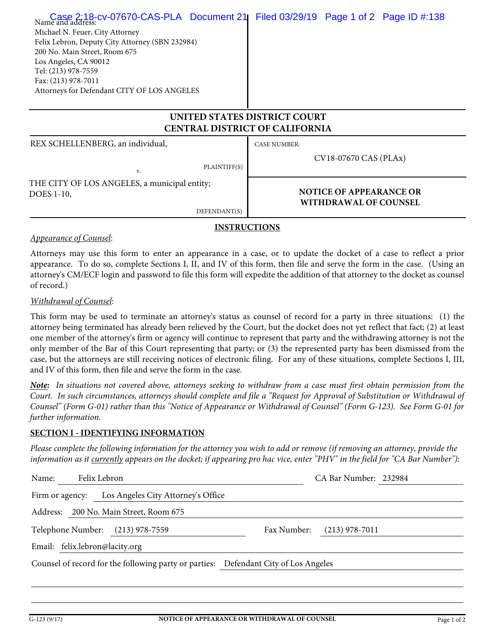| Case 2:18-cv-07670-CAS-PLA Document 21<br>Name and address:<br>Michael N. Feuer, City Attorney<br>Felix Lebron, Deputy City Attorney (SBN 232984)<br>200 No. Main Street, Room 675<br>Los Angeles, CA 90012<br>Tel: (213) 978-7559<br>Fax: (213) 978-7011<br>Attorneys for Defendant CITY OF LOS ANGELES | Filed 03/29/19  Page 1 of 2  Page ID #:138                     |  |  |  |  |
|----------------------------------------------------------------------------------------------------------------------------------------------------------------------------------------------------------------------------------------------------------------------------------------------------------|----------------------------------------------------------------|--|--|--|--|
| UNITED STATES DISTRICT COURT<br><b>CENTRAL DISTRICT OF CALIFORNIA</b>                                                                                                                                                                                                                                    |                                                                |  |  |  |  |
| REX SCHELLENBERG, an individual,<br>PLAINTIFF(S)<br>V.                                                                                                                                                                                                                                                   | <b>CASE NUMBER:</b><br>CV18-07670 CAS (PLAx)                   |  |  |  |  |
| THE CITY OF LOS ANGELES, a municipal entity;<br>DOES 1-10,<br>DEFENDANT(S)                                                                                                                                                                                                                               | <b>NOTICE OF APPEARANCE OR</b><br><b>WITHDRAWAL OF COUNSEL</b> |  |  |  |  |
|                                                                                                                                                                                                                                                                                                          |                                                                |  |  |  |  |

### **INSTRUCTIONS**

#### *Appearance of Counsel*:

Attorneys may use this form to enter an appearance in a case, or to update the docket of a case to reflect a prior appearance. To do so, complete Sections I, II, and IV of this form, then file and serve the form in the case. (Using an attorney's CM/ECF login and password to file this form will expedite the addition of that attorney to the docket as counsel of record.)

#### *Withdrawal of Counsel*:

This form may be used to terminate an attorney's status as counsel of record for a party in three situations: (1) the attorney being terminated has already been relieved by the Court, but the docket does not yet reflect that fact; (2) at least one member of the attorney's firm or agency will continue to represent that party and the withdrawing attorney is not the only member of the Bar of this Court representing that party; or (3) the represented party has been dismissed from the case, but the attorneys are still receiving notices of electronic filing. For any of these situations, complete Sections I, III, and IV of this form, then file and serve the form in the case.

*Note: In situations not covered above, attorneys seeking to withdraw from a case must first obtain permission from the Court. In such circumstances, attorneys should complete and file a "Request for Approval of Substitution or Withdrawal of Counsel" (Form G-01) rather than this "Notice of Appearance or Withdrawal of Counsel" (Form G-123). See Form G-01 for further information.*

### **SECTION I - IDENTIFYING INFORMATION**

*Please complete the following information for the attorney you wish to add or remove (if removing an attorney, provide the information as it currently appears on the docket; if appearing pro hac vice, enter "PHV" in the field for "CA Bar Number"):*

| Name:                                                                               | Felix Lebron                                          | CA Bar Number: 232984           |  |  |  |
|-------------------------------------------------------------------------------------|-------------------------------------------------------|---------------------------------|--|--|--|
|                                                                                     | Los Angeles City Attorney's Office<br>Firm or agency: |                                 |  |  |  |
|                                                                                     | Address: 200 No. Main Street, Room 675                |                                 |  |  |  |
|                                                                                     | Telephone Number:<br>$(213)$ 978-7559                 | $(213)$ 978-7011<br>Fax Number: |  |  |  |
|                                                                                     | Email: felix.lebron@lacity.org                        |                                 |  |  |  |
| Counsel of record for the following party or parties: Defendant City of Los Angeles |                                                       |                                 |  |  |  |
|                                                                                     |                                                       |                                 |  |  |  |